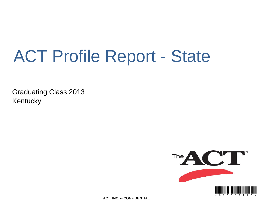# ACT Profile Report - State

Graduating Class 2013 **Kentucky** 



**ACT, INC. -- CONFIDENTIAL**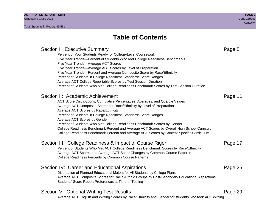# **Table of Contents**

# Section I: Executive Summary **Page 5** and the section I: Executive Summary Percent of Your Students Ready for College-Level Coursework Five Year Trends—Percent of Students Who Met College Readiness Benchmarks Five Year Trends—Average ACT Scores Five Year Trends—Average ACT Scores by Level of Preparation Five Year Trends—Percent and Average Composite Score by Race/Ethnicity Percent of Students in College Readiness Standards Score Ranges Average ACT College Reportable Scores by Test Session Duration Percent of Students Who Met College Readiness Benchmark Scores by Test Session Duration Section II: Academic Achievement **Page 11** Page 11 ACT Score Distributions, Cumulative Percentages, Averages, and Quartile Values Average ACT Composite Scores for Race/Ethnicity by Level of Preparation Average ACT Scores by Race/Ethnicity Percent of Students in College Readiness Standards Score Ranges Average ACT Scores by Gender Percent of Students Who Met College Readiness Benchmark Scores by Gender College Readiness Benchmark Percent and Average ACT Scores by Overall High School Curriculum College Readiness Benchmark Percent and Average ACT Scores by Content-Specific Curriculum Section III: College Readiness & Impact of Course Rigor Page 17 Percent of Students Who Met ACT College Readiness Benchmark Scores by Race/Ethnicity Average ACT Scores and Average ACT Score Changes by Common Course Patterns College Readiness Percents by Common Course Patterns Section IV: Career and Educational Aspirations **Page 25** Page 25 Distribution of Planned Educational Majors for All Students by College Plans Average ACT Composite Scores for Racial/Ethnic Groups by Post-Secondary Educational Aspirations Students' Score Report Preferences at Time of Testing Section V: Optional Writing Test Results **Page 29** Page 29 Average ACT English and Writing Scores by Race/Ethnicity and Gender for students who took ACT Writing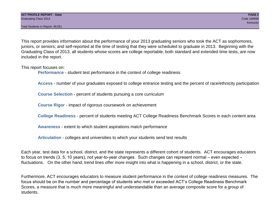Total Students in Report: 49,551

This report provides information about the performance of your 2013 graduating seniors who took the ACT as sophomores, juniors, or seniors; and self-reported at the time of testing that they were scheduled to graduate in 2013. Beginning with the Graduating Class of 2013, all students whose scores are college reportable, both standard and extended time tests, are now included in the report.

This report focuses on:

**Performance** - student test performance in the context of college readiness

**Access** - number of your graduates exposed to college entrance testing and the percent of race/ethnicity participation

**Course Selection** - percent of students pursuing a core curriculum

**Course Rigor** - impact of rigorous coursework on achievement

**College Readiness** - percent of students meeting ACT College Readiness Benchmark Scores in each content area

**Awareness** - extent to which student aspirations match performance

**Articulation** - colleges and universities to which your students send test results

Each year, test data for a school, district, and the state represents a different cohort of students. ACT encourages educators to focus on trends (3, 5, 10 years), not year-to-year changes. Such changes can represent normal – even expected – fluctuations. On the other hand, trend lines offer more insight into what is happening in a school, district, or the state.

Furthermore, ACT encourages educators to measure student performance in the context of college readiness measures. The focus should be on the number and percentage of students who met or exceeded ACT's College Readiness Benchmark Scores, a measure that is much more meaningful and understandable than an average composite score for a group of students.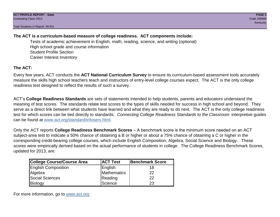Total Students in Report: 49,551

# **The ACT is a curriculum-based measure of college readiness. ACT components include:**

Tests of academic achievement in English, math, reading, science, and writing (optional) High school grade and course information Student Profile Section Career Interest Inventory

# **The ACT:**

Every few years, ACT conducts the **ACT National Curriculum Survey** to ensure its curriculum-based assessment tools accurately measure the skills high school teachers teach and instructors of entry-level college courses expect. The ACT is the only college readiness test designed to reflect the results of such a survey.

ACT's **College Readiness Standards** are sets of statements intended to help students, parents and educators understand the meaning of test scores. The standards relate test scores to the types of skills needed for success in high school and beyond. They serve as a direct link between what students have learned and what they are ready to do next. The ACT is the only college readiness test for which scores can be tied directly to standards. *Connecting College Readiness Standards to the Classroom* interpretive guides can be found at www.act.org/standard/infoserv.html.

Only the ACT reports **College Readiness Benchmark Scores** – A benchmark score is the minimum score needed on an ACT subject-area test to indicate a 50% chance of obtaining a B or higher or about a 75% chance of obtaining a C or higher in the corresponding credit-bearing college courses, which include English Composition, Algebra, Social Science and Biology. These scores were empirically derived based on the actual performance of students in college. The College Readiness Benchmark Scores, updated for 2013, are:

| College Course/Course Area | <b>ACT Test</b> | <b>Benchmark Score</b> |
|----------------------------|-----------------|------------------------|
| <b>English Composition</b> | English         | 18                     |
| Algebra                    | Mathematics     | 22                     |
| <b>Social Sciences</b>     | Reading         | 22                     |
| Biology                    | Science         | 23                     |

For more information, go to www.act.org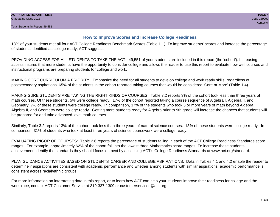# **How to Improve Scores and Increase College Readiness**

18% of your students met all four ACT College Readiness Benchmark Scores (Table 1.1). To improve students' scores and increase the percentage of students identified as college ready, ACT suggests:

PROVIDING ACCESS FOR ALL STUDENTS TO TAKE THE ACT: 49,551 of your students are included in this report (the 'cohort'). Increasing access insures that more students have the opportunity to consider college and allows the reader to use this report to evaluate how well courses and instructional programs are preparing students for college and work.

MAKING CORE CURRICULUM A PRIORITY: Emphasize the need for all students to develop college and work ready skills, regardless of postsecondary aspirations. 65% of the students in the cohort reported taking courses that would be considered 'Core or More' (Table 1.4).

MAKING SURE STUDENTS ARE TAKING THE RIGHT KINDS OF COURSES: Table 3.2 reports 3% of the cohort took less than three years of math courses. Of these students, 5% were college ready. 17% of the cohort reported taking a course sequence of Algebra I, Algebra II, and Geometry. 7% of these students were college ready. In comparison, 37% of the students who took 3 or more years of math beyond Algebra I, Algebra II, and Geometry were college ready. Getting more students ready for Algebra prior to 9th grade will increase the chances that students will be prepared for and take advanced-level math courses.

Similarly, Table 3.2 reports 13% of the cohort took less than three years of natural science courses. 13% of these students were college ready. In comparison, 31% of students who took at least three years of science coursework were college ready.

EVALUATING RIGOR OF COURSES: Table 2.6 reports the percentage of students falling in each of the ACT College Readiness Standards score ranges. For example, approximately 62% of the cohort fall into the lowest three Mathematics score ranges. To increase these students' achievement, identify the standards they should focus on next by accessing ACT's College Readiness Standards at www.act.org/standard.

PLAN GUIDANCE ACTIVITIES BASED ON STUDENTS' CAREER AND COLLEGE ASPIRATIONS: Data in Tables 4.1 and 4.2 enable the reader to determine if aspirations are consistent with academic performance and whether among students with similar aspirations, academic performance is consistent across racial/ethnic groups.

For more information on interpreting data in this report, or to learn how ACT can help your students improve their readiness for college and the workplace, contact ACT Customer Service at 319-337-1309 or customerservices@act.org.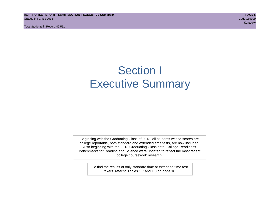**ACT PROFILE REPORT - State: SECTION I, EXECUTIVE SUMMARY PAGE 5** Graduating Class 2013 Code 189999

Total Students in Report: 49,551

kentucky – Kentucky – Kentucky – Kentucky – Kentucky – Kentucky – Kentucky – Kentucky – Kentucky

# Section I Executive Summary

Beginning with the Graduating Class of 2013, all students whose scores are college reportable, both standard and extended time tests, are now included. Also beginning with the 2013 Graduating Class data, College Readiness Benchmarks for Reading and Science were updated to reflect the most recent college coursework research.

> To find the results of only standard time or extended time test takers, refer to Tables 1.7 and 1.8 on page 10.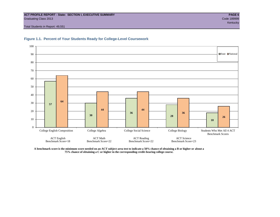#### **ACT PROFILE REPORT - State: SECTION I, EXECUTIVE SUMMARY PAGE 6** Graduating Class 2013 Code 189999

Total Students in Report: 49,551





**A benchmark score is the minimum score needed on an ACT subject-area test to indicate a 50% chance of obtaining a B or higher or about a 75% chance of obtaining a C or higher in the corresponding credit-bearing college course.**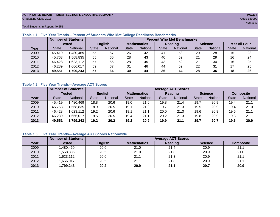#### **ACT PROFILE REPORT - State: SECTION I, EXECUTIVE SUMMARY PAGE 7** Graduating Class 2013 Code 189999

Total Students in Report: 49,551

|      |              | <b>Number of Students</b> |              | <b>Percent Who Met Benchmarks</b> |    |                    |              |                |    |                |                     |          |  |  |
|------|--------------|---------------------------|--------------|-----------------------------------|----|--------------------|--------------|----------------|----|----------------|---------------------|----------|--|--|
|      |              | <b>Tested</b>             |              | <b>English</b>                    |    | <b>Mathematics</b> |              | <b>Reading</b> |    | <b>Science</b> | <b>Met All Four</b> |          |  |  |
| Year | <b>State</b> | <b>National</b>           | <b>State</b> | National                          |    | National           | <b>State</b> | National       |    | National       | <b>State</b>        | National |  |  |
| 2009 | 45,419       | ,480,469                  | 55           | 67                                | 26 | 42                 | 41           | 53             | 20 | 28             | 15                  | 23       |  |  |
| 2010 | 45,763       | .568.835                  | 55           | 66                                | 28 | 43                 | 40           | 52             | 21 | 29             | 16                  | 24       |  |  |
| 2011 | 46,428       | ,623,112                  | 57           | 66                                | 28 | 45                 | 43           | 52             | 21 | 30             | 16                  | 25       |  |  |
| 2012 | 46,289       | .666,017                  | 59           | 67                                | 31 | 46                 | 44           | 52             | 22 | 31             |                     | 25       |  |  |
| 2013 | 49,551       | 1,799,243                 | 57           | 64                                | 30 | 44                 | 36           | 44             | 28 | 36             | 18                  | 26       |  |  |

# **Table 1.1. Five Year Trends—Percent of Students Who Met College Readiness Benchmarks**

# **Table 1.2. Five Year Trends—Average ACT Scores**

|      |              | <b>Number of Students</b> |              |                | <b>Average ACT Scores</b> |                 |              |                 |                |          |                  |          |  |  |
|------|--------------|---------------------------|--------------|----------------|---------------------------|-----------------|--------------|-----------------|----------------|----------|------------------|----------|--|--|
|      |              | Tested                    |              | <b>English</b> | <b>Mathematics</b>        |                 | Reading      |                 | <b>Science</b> |          | <b>Composite</b> |          |  |  |
| Year | <b>State</b> | <b>National</b>           | <b>State</b> | National       |                           | <b>National</b> | <b>State</b> | <b>National</b> | <b>State</b>   | National | <b>State</b>     | National |  |  |
| 2009 | 45.419       | ,480,469                  | 18.8         | 20.6           | 19.0                      | 21.0            | 19.8         | 21.4            | 19.7           | 20.9     | 19.4             | 21.1     |  |  |
| 2010 | 45,763       | .568.835                  | 18.9         | 20.5           | 19.1                      | 21.0            | 19.7         | 21.3            | 19.5           | 20.9     | 19.4             | 21.0     |  |  |
| 2011 | 46,428       | .623,112                  | 19.2         | 20.6           | 19.1                      | 21.1            | 20.0         | 21.3            | 19.6           | 20.9     | 19.6             | 21.1     |  |  |
| 2012 | 46,289       | .666,017                  | 19.5         | 20.5           | 19.4                      | 21.1            | 20.2         | 21.3            | 19.8           | 20.9     | 19.8             | 21.1     |  |  |
| 2013 | 49,551       | ,799,243                  | 19.2         | 20.2           | 19.2                      | 20.9            | 19.9         | 21.1            | 19.7           | 20.7     | 19.6             | 20.9     |  |  |

# **Table 1.3. Five Year Trends—Average ACT Scores Nationwide**

|      | <b>Number of Students</b> |                | <b>Average ACT Scores</b> |         |                |                  |  |  |  |  |  |  |
|------|---------------------------|----------------|---------------------------|---------|----------------|------------------|--|--|--|--|--|--|
| Year | Tested                    | <b>English</b> | <b>Mathematics</b>        | Reading | <b>Science</b> | <b>Composite</b> |  |  |  |  |  |  |
| 2009 | ,480,469                  | 20.6           | 21.0                      | 21.4    | 20.9           | 21.1             |  |  |  |  |  |  |
| 2010 | ,568,835                  | 20.5           | 21.0                      | 21.3    | 20.9           | 21.0             |  |  |  |  |  |  |
| 2011 | ,623,112                  | 20.6           | 21.1                      | 21.3    | 20.9           | 21.1             |  |  |  |  |  |  |
| 2012 | ,666,017                  | 20.5           | 21.1                      | 21.3    | 20.9           | 21.1             |  |  |  |  |  |  |
| 2013 | ,799,243                  | 20.2           | 20.9                      | 21.1    | 20.7           | 20.9             |  |  |  |  |  |  |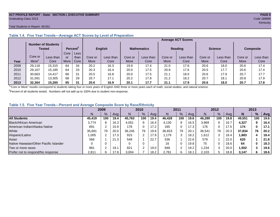#### **ACT PROFILE REPORT - State: SECTION I, EXECUTIVE SUMMARY PAGE 8** Graduating Class 2013 Code 189999

#### Total Students in Report: 49,551

|      |         | <b>Number of Students</b><br>Tested |      | Percent <sup>2</sup> |         | <b>English</b> |         | <b>Mathematics</b> |         | <b>Reading</b> |         | <b>Science</b> |         | <b>Composite</b> |
|------|---------|-------------------------------------|------|----------------------|---------|----------------|---------|--------------------|---------|----------------|---------|----------------|---------|------------------|
|      |         |                                     | Core | <b>Less</b>          |         |                |         |                    |         |                |         |                |         |                  |
|      | Core or | Less than                           | or   | than                 | Core or | Less than      | Core or | Less than          | Core or | Less than      | Core or | Less than      | Core or | Less than        |
| Year | More    | Core                                | More | Core                 | More    | Core           | More    | Core               | More    | Core           | More    | Core           | More    | Core             |
| 2009 | 29,118  | 15,315                              | 64   | 34                   | 20.2    | 16.3           | 19.9    | 17.4               | 21.0    | 17.6           | 20.6    | 18.0           | 20.6    | 17.4             |
| 2010 | 29,167  | 15,185                              | 64   | 33                   | 20.3    | 16.4           | 20.0    | 17.5               | 20.9    | 17.6           | 20.5    | 17.7           | 20.6    | 17.4             |
| 2011 | 30,663  | 14,417                              | 66   | -31                  | 20.5    | 16.8           | 20.0    | 17.5               | 21.1    | 18.0           | 20.6    | 17.9           | 20.7    | 17.7             |
| 2012 | 31,591  | 13,305                              | 68   | 29                   | 20.7    | 17.1           | 20.2    | 17.8               | 21.2    | 18.2           | 20.7    | 18.1           | 20.8    | 17.9             |
| 2013 | 32.364  | 15.260                              | 65   | 31                   | 20.6    | 16.9           | 20.1    | 17.7               | 21.1    | 17.9           | 20.6    | 18.0           | 20.7    | 17.8             |

### **Table 1.4. Five Year Trends—Average ACT Scores by Level of Preparation**

<sup>1</sup>"Core or More" results correspond to students taking four or more years of English AND three or more years each of math, social studies, and natural science.

 $2$ Percent of all students tested. Numbers will not add up to 100% due to student non-response.

# **Table 1.5. Five Year Trends—Percent and Average Composite Score by Race/Ethnicity**

|                                        | 2009   |     |      | 2010   |               |      | 2011    |     |      | 2012   |     |      | 2013   |     |      |
|----------------------------------------|--------|-----|------|--------|---------------|------|---------|-----|------|--------|-----|------|--------|-----|------|
|                                        | N      | %   | Avg  | N      | $\frac{9}{6}$ | Avg  | N       | %   | Avg  | Ν      | %   | Ava  | N      | %   | Avg  |
| <b>All Students</b>                    | 45.419 | 100 | 19.4 | 45.763 | 100           | 19.4 | 46.428  | 100 | 19.6 | 46.289 | 100 | 19.8 | 49.551 | 100 | 19.6 |
| Black/African American                 | 3.774  | 8   | 16.3 | 4,051  | 9             | 16.4 | 4,130   | 9   | 16.5 | 3,969  | 9   | 16.7 | 4,327  |     | 16.4 |
| American Indian/Alaska Native          | 691    |     | 15.9 | 178    | 0             | 17.2 | 185     | 0   | 17.3 | 176    | U   | 17.5 | 174    |     | 17.1 |
| White                                  | 35.691 | 79  | 20.0 | 36.245 | 79            | 19.8 | 36,653  | 79  | 20.7 | 36.541 | 79  | 20.3 | 37,834 | 76  | 20.2 |
| Hispanic/Latino                        | 1,005  |     | 17.3 | 915    | 2             | 17.9 | . 179،، | 3   | 18.2 | 1,612  | 3   | 18.4 | 1,883  | 4   | 18.4 |
| Asian                                  | 566    |     | 21.3 | 549    |               | 22.7 | 536     |     | 22.6 | 579    |     | 22.0 | 620    |     | 21.8 |
| Native Hawaiian/Other Pacific Islander |        |     |      |        | 0             |      | 16      |     | 19.8 | 75     | U   | 18.6 | 64     | 0   | 18.3 |
| Two or more races                      | 881    |     | 19.1 | 821    | $\sim$        | 19.0 | 948     |     | 19.2 | ,234   | 3   | 20.0 | 502. ا |     | 19.6 |
| Prefer not to respond/No response      | 2,811  | 6   | 17.8 | 3,004  |               | 18.2 | 2,781   | 6   | 18.1 | 2,103  | 5   | 18.8 | 3,147  | 6.  | 18.6 |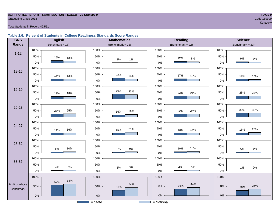#### **ACT PROFILE REPORT - State: SECTION I, EXECUTIVE SUMMARY PAGE 9 Graduating Class 2013** Code 189999

kentucky – kontucky – kontucky – kontucky – kontucky – kontucky – kontucky – kontucky – kontucky – kontucky –

Total Students in Report: 49,551

### **Table 1.6. Percent of Students in College Readiness Standards Score Ranges**

| <b>CRS</b>    | <b>English</b>       | <b>Mathematics</b>                    | <b>Reading</b>      | <b>Science</b>     |
|---------------|----------------------|---------------------------------------|---------------------|--------------------|
| Range         | (Benchmark = $18$ )  | (Benchmark = $22$ )                   | (Benchmark = $22$ ) | $(Benchmark = 23)$ |
|               | 100%                 | 100%                                  | 100%                | 100%               |
| $1 - 12$      | 50%<br>18%<br>13%    | 50%<br>1%<br>1%                       | 50%<br>12%<br>$8\%$ | 50%<br>9%<br>$7\%$ |
|               | $0\%$                | $0\%$                                 | $0\%$               | $0\%$              |
| $13 - 15$     | 100%                 | 100%                                  | 100%                | 100%               |
|               | $50\%$<br>15%<br>13% | 50%<br>22%<br>14%                     | 50%<br>17%<br>13%   | 50%<br>14%<br>10%  |
|               | $0\%$                | $0\%$                                 | $0\%$               | 0%                 |
|               | 100%                 | 100%                                  | 100%                | 100%               |
| 16-19         | 50%<br>19%<br>18%    | 39%<br>33%<br>50%                     | 50%<br>23%<br>21%   | 25%<br>50%<br>23%  |
|               | $0\%$                | $0\%$                                 | 0%                  | 0%                 |
|               | 100%                 | 100%                                  | 100%                | 100%               |
| $20 - 23$     | 50%<br>25%<br>23%    | 50%<br>19%<br>16%                     | 50%<br>24%<br>22%   | 30%<br>30%<br>50%  |
|               | $0\%$                | $0\%$                                 | $0\%$               | 0%                 |
|               | 100%                 | 100%                                  | 100%                | 100%               |
| 24-27         | 50%<br>16%<br>14%    | 50%<br>21%<br>15%                     | 50%<br>15%<br>13%   | 50%<br>20%<br>16%  |
|               | $0\%$                | $0\%$                                 | 0%                  | 0%                 |
|               | 100%                 | 100%                                  | 100%                | 100%               |
| 28-32         | 50%<br>10%<br>8%     | 50%<br>$9\%$<br>$5\%$                 | 50%<br>13%<br>10%   | 50%<br>$8\%$<br>5% |
|               | $0\%$                | $0\%$                                 | $0\%$               | $0\%$              |
|               | 100%                 | 100%                                  | 100%                | 100%               |
| 33-36         | 50%<br>$5\%$<br>4%   | 50%                                   | 50%<br>5%<br>$4\%$  | 50%                |
|               | 0%                   | 3%<br>1%<br>$0\%$                     | $0\%$               | 1%<br>2%<br>0%     |
|               | 100%                 | 100%                                  | 100%                | 100%               |
| % At or Above | 64%<br>57%           | 44%                                   | 44%                 |                    |
| Benchmark     | 50%                  | 50%<br>30%                            | 36%<br>50%          | 36%<br>50%<br>28%  |
|               | $0\%$                | $0\%$                                 | $0\%$               | $0\%$              |
|               |                      | $=$ State<br><b>Contract Contract</b> | = National          |                    |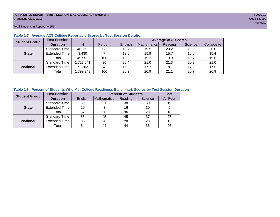#### **ACT PROFILE REPORT- State: SECTION II, ACADEMIC ACHIEVEMENT PAGE 10** Graduating Class 2013 Code 189999

Total Students in Report: 49,551

| <b>Student Group</b> | <b>Test Session</b>  |           |         |         | <b>Average ACT Scores</b> |         |         |           |  |  |  |  |  |  |
|----------------------|----------------------|-----------|---------|---------|---------------------------|---------|---------|-----------|--|--|--|--|--|--|
|                      | <b>Duration</b>      | N         | Percent | English | Mathematics               | Reading | Science | Composite |  |  |  |  |  |  |
|                      | <b>Standard Time</b> | 46,121    | 93      | 19.7    | 19.5                      | 20.2    | 19.9    | 20.0      |  |  |  |  |  |  |
| <b>State</b>         | <b>Extended Time</b> | 3,430     |         | 13.6    | 15.9                      | 15.7    | 16.0    | 15.4      |  |  |  |  |  |  |
|                      | Total                | 49,551    | 100     | 19.2    | 19.2                      | 19.9    | 19.7    | 19.6      |  |  |  |  |  |  |
|                      | <b>Standard Time</b> | 1,727,041 | 96      | 20.4    | 21.0                      | 21.3    | 20.9    | 21.0      |  |  |  |  |  |  |
| <b>National</b>      | <b>Extended Time</b> | 72,202    | 4       | 15.9    | 17.7                      | 18.1    | 17.9    | 17.5      |  |  |  |  |  |  |
|                      | Total                | ,799,243  | 100     | 20.2    | 20.9                      | 21.1    | 20.7    | 20.9      |  |  |  |  |  |  |

# **Table 1.7. Average ACT College Reportable Scores by Test Session Duration**

# **Table 1.8. Percent of Students Who Met College Readiness Benchmark Scores by Test Session Duration**

| <b>Student Group</b> | <b>Test Session</b>  |         |             | <b>Percent of Students</b> |         | Met      |
|----------------------|----------------------|---------|-------------|----------------------------|---------|----------|
|                      | <b>Duration</b>      | English | Mathematics | Reading                    | Science | All Four |
|                      | Standard Time        | 60      | 31          | 38                         | 30      | 19       |
| <b>State</b>         | <b>Extended Time</b> | 20      |             | 16                         | 10      | 5        |
|                      | Total                | 57      | 30          | 36                         | 28      | 18       |
|                      | <b>Standard Time</b> | 65      | 45          | 45                         | 37      | 27       |
| <b>National</b>      | <b>Extended Time</b> | 35      | 20          | 28                         | 20      | 13       |
|                      | Total                | 64      | 44          | 44                         | 36      | 26       |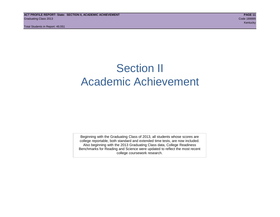# Section II Academic Achievement

Beginning with the Graduating Class of 2013, all students whose scores are college reportable, both standard and extended time tests, are now included. Also beginning with the 2013 Graduating Class data, College Readiness Benchmarks for Reading and Science were updated to reflect the most recent college coursework research.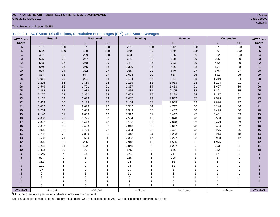# **ACT PROFILE REPORT- State: SECTION II, ACADEMIC ACHIEVEMENT PAGE 12** Graduating Class 2013 Code 189999

Total Students in Report: 49,551

|  | Table 2.1. ACT Score Distributions, Cumulative Percentages (CP <sup>1</sup> ), and Score Averages |  |  |  |
|--|---------------------------------------------------------------------------------------------------|--|--|--|
|  |                                                                                                   |  |  |  |

| <b>ACT Scale</b> |                  | <b>English</b> |                | <b>Mathematics</b> |             | Reading        |                  | <b>Science</b>   | Composite       |                | <b>ACT Scale</b> |
|------------------|------------------|----------------|----------------|--------------------|-------------|----------------|------------------|------------------|-----------------|----------------|------------------|
| <b>Score</b>     | N                | <b>CP</b>      | $\mathsf{N}$   | CP                 | N           | CP             | $\mathsf{N}$     | CP               | N               | CP             | <b>Score</b>     |
| 36               | $\overline{137}$ | 100            | 87             | 100                | 281         | 100            | $\overline{112}$ | 100              | $\overline{37}$ | 100            | $\overline{36}$  |
| 35               | 502              | 100            | 139            | 100                | 349         | 99             | 179              | 100              | 96              | 100            | 35               |
| 34               | 467              | 99             | 209            | 100                | 453         | 99             | 186              | 99               | 162             | 100            | 34               |
| 33               | 675              | 98             | 277            | 99                 | 681         | 98             | 128              | 99               | 286             | 99             | 33               |
| 32               | 588              | 96             | 268            | 99                 | 777         | 96             | 293              | 99               | 432             | 99             | 32               |
| 31               | 650              | 95             | 275            | $98\,$             | 1,329       | 95             | 426              | $98\,$           | 594             | 98             | 31               |
| 30               | 898              | 94             | 382            | 97                 | 955         | 92             | 540              | 97               | 676             | 97             | 30               |
| 29               | 864              | 92             | 547            | 97                 | 1,028       | $90\,$         | 658              | 96               | 892             | 95             | 29               |
| 28               | 1,061            | 90             | 901            | 96                 | 1,104       | 88             | 731              | 95               | 1,210           | 94             | 28               |
| 27               | 1,215            | 88             | 1,380          | 94                 | 1,169       | 86             | 1,063            | 93               | 1,294           | 91             | $27\,$           |
| 26               | 1,549            | 86             | 1,721          | 91                 | 1,367       | 84             | 1,453            | 91               | 1,627           | 89             | $26\,$           |
| 25               | 1,862            | 83             | 1,988          | 88                 | 1,455       | 81             | 2,105            | 88               | 1,891           | 85             | 25               |
| 24               | 2,257            | 79             | 2,332          | 84                 | 2,463       | 78             | 3,279            | 84               | 2,117           | 81             | 24               |
| 23               | 2,115            | 74             | 2,076          | $\bf 79$           | 2,407       | 73             | 2,862            | $77\,$           | 2,525           | $77\,$         | 23               |
| 22               | 2,669            | 70             | 2,174          | 75                 | 2,154       | 68             | 2,969            | 72               | 2,890           | 72             | 22               |
| 21               | 3,453            | 65             | 2,093          | 70                 | 3,583       | 64             | 4,717            | 66               | 3,246           | 66             | 21               |
| 20               | 3,254            | 58             | 1,689          | 66                 | 2,543       | 56             | 4,402            | 56               | 3,428           | 60             | 20               |
| 19               | 2,140            | 51             | 2,808          | 63                 | 3,319       | 51             | 3,412            | 47               | 3,431           | 53             | 19               |
| 18               | 2,080            | 47             | 3,775          | 57                 | 2,564       | 45             | 3,628            | 40               | 3,508           | 46             | 18               |
| 17               | 2,077            | 43             | 5,440          | 49                 | 3,136       | 39             | 2,640            | 33               | 3,479           | 39             | 17               |
| 16               | 2,897            | 38             | 7,463          | 38                 | 2,340       | 33             | 2,617            | 28               | 3,406           | 32             | 16               |
| 15               | 3,070            | 33             | 6,720          | 23                 | 2,434       | 28             | 2,421            | 23               | 3,275           | 25             | 15               |
| 14               | 2,706            | 26             | 2,869          | 10                 | 3,443       | 24             | 2,263            | 18               | 3,214           | 18             | 14               |
| 13               | 1,518            | 21             | 1,539          | $\overline{4}$     | 2,333       | 17             | 2,227            | 13               | 2,968           | 12             | 13               |
| 12               | 1,870            | 18             | 236            | $\mathbf{1}$       | 2,948       | 12             | 1,556            | $\boldsymbol{9}$ | 1,975           | 6              | 12               |
| 11               | 2,252            | 14             | 132            |                    | 1,848       | 6              | 1,237            | $\mathbf 5$      | 753             | 2              | 11               |
| 10               | 1,833            | 10             | 10             |                    | 565         | $\overline{2}$ | 946              | 3                | 112             | 1              | 10               |
| 9                | 1,549            | 6              | 13             |                    | 261         |                | 317              | 1                | 17              | $\overline{1}$ | $\boldsymbol{9}$ |
| 8                | 894              | 3              | 5              |                    | 165         |                | 128              |                  | 6               |                | 8                |
| $\overline{7}$   | 312              |                | $\Omega$       |                    | 24          |                | 36               |                  | $\overline{2}$  |                | $\overline{7}$   |
| 6                | 101              |                | $\overline{2}$ |                    | 38          |                | 11               | 1                | $\mathbf 0$     |                | 6                |
| 5                | 17               |                | $\mathbf 0$    |                    | $20\,$      |                | $\overline{2}$   | 1                | $\Omega$        |                | 5                |
| 4                | 9                |                | $\overline{1}$ |                    | 11          |                | $\mathbf{3}$     |                  |                 |                |                  |
| 3                | 6                |                | $\mathbf 0$    |                    | $\mathbf 0$ |                | $\overline{c}$   | 1                |                 |                | 3                |
| $\overline{2}$   | $\overline{4}$   |                | 0              |                    |             |                | 0                | 1                | $\Omega$        |                | $\overline{2}$   |
|                  | $\Omega$         | 1              | $\Omega$       |                    | 3           |                | $\overline{2}$   | $\overline{1}$   | $\Omega$        |                | Avg (SD)         |
| Avg (SD)         |                  | 19.2(6.6)      |                | 19.2(4.8)          |             | 19.9(6.3)      |                  | 19.7(5.2)        |                 | 19.6(5.2)      |                  |

kentucky – kontucky – kontucky – kontucky – kontucky – kontucky – kontucky – kontucky – kontucky – kontucky –

<sup>1</sup>CP is the cumulative percent of students at or below a score point.

Note: Shaded portions of columns identify the students who met/exceeded the ACT College Readiness Benchmark Scores.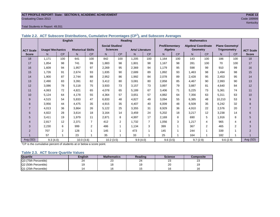#### **ACT PROFILE REPORT- State: SECTION II, ACADEMIC ACHIEVEMENT PAGE 13** Graduating Class 2013 Code 189999

#### Total Students in Report: 49,551

|                  | <b>English</b>          |                |                          |                | Reading                |                |                        |                | <b>Mathematics</b>    |           |                            |                |                        |                |                  |
|------------------|-------------------------|----------------|--------------------------|----------------|------------------------|----------------|------------------------|----------------|-----------------------|-----------|----------------------------|----------------|------------------------|----------------|------------------|
|                  |                         |                |                          |                | <b>Social Studies/</b> |                |                        |                | <b>Pre/Elementary</b> |           | <b>Algebra/ Coordinate</b> |                | <b>Plane Geometry/</b> |                |                  |
| <b>ACT Scale</b> | <b>Usage/ Mechanics</b> |                | <b>Rhetorical Skills</b> |                | <b>Sciences</b>        |                | <b>Arts/Literature</b> |                | Algebra               |           | <b>Geometry</b>            |                | <b>Trigonometry</b>    |                | <b>ACT Scale</b> |
| <b>Score</b>     | N.                      | <b>CP</b>      | N                        | <b>CP</b>      | N                      | <b>CP</b>      | N <sub>1</sub>         | <b>CP</b>      | N.                    | <b>CP</b> | N                          | <b>CP</b>      | N                      | CP             | <b>Score</b>     |
| 18               | 1.171                   | 100            | 641                      | 100            | 842                    | 100            | 1.205                  | 100            | 1.164                 | 100       | 143                        | 100            | 186                    | 100            | 18               |
| 17               | 1,854                   | 98             | 741                      | 99             | 1,883                  | 98             | 1.801                  | 98             | 1,167                 | 98        | 281                        | 100            | 70                     | 100            | 17               |
| 16               | 1.609                   | 94             | 1,957                    | 97             | 2,269                  | 95             | 2,369                  | 94             | 1.179                 | 95        | 598                        | 99             | 910                    | 99             | 16               |
| 15               | 1.726                   | 91             | 2,674                    | 93             | 1,835                  | 90             | 2,689                  | 89             | 1,892                 | 93        | 1.463                      | 98             | 1.494                  | 98             | 15               |
| 14               | 1,900                   | 87             | 2.744                    | 88             | 2,952                  | 86             | 1,992                  | 84             | 2,078                 | 89        | 2,428                      | 95             | 2,453                  | 95             | 14               |
| 13               | 2,490                   | 83             | 3,391                    | 82             | 3,412                  | 80             | 3,081                  | 80             | 2,858                 | 85        | 4,467                      | 90             | 2,993                  | 90             | 13               |
| 12               | 3,086                   | 78             | 5.118                    | 75             | 3,933                  | 73             | 3,157                  | 73             | 3,897                 | 79        | 3,887                      | 81             | 4,640                  | 84             | 12               |
| 11               | 4.063                   | 72             | 4.821                    | 65             | 4.078                  | 65             | 5.189                  | 67             | 3.406                 | 71        | 5.225                      | 73             | 5.361                  | 74             | 11               |
| 10               | 5,124                   | 64             | 4.178                    | 55             | 4,364                  | 57             | 3,651                  | 57             | 4,882                 | 64        | 7,356                      | 63             | 5,311                  | 63             | 10               |
| 9                | 4,515                   | 54             | 5,833                    | 47             | 6,833                  | 48             | 4.827                  | 49             | 3,094                 | 55        | 6,385                      | 48             | 10,210                 | 53             | $9\,$            |
| 8                | 3,956                   | 44             | 4.475                    | 35             | 4,915                  | 35             | 4.407                  | 40             | 6.009                 | 48        | 6,509                      | 35             | 6,242                  | 32             | 8                |
| $\overline{7}$   | 4,013                   | 36             | 3,864                    | 26             | 5,122                  | 25             | 3,355                  | 31             | 8,929                 | 36        | 4,910                      | 22             | 2,576                  | 20             | $\overline{7}$   |
| 6                | 4,822                   | 28             | 3,614                    | 18             | 3,164                  | 14             | 3,459                  | 24             | 5,202                 | 18        | 3,217                      | 12             | 3,238                  | 14             | 6                |
| 5                | 3,411                   | 19             | 1.979                    | 11             | 2,871                  | 8              | 4.997                  | 17             | 2,169                 | 8         | 690                        | 5              | 1.916                  | 8              | 5                |
| 4                | 2,817                   | 12             | 2,371                    | $\overline{7}$ | 412                    | $\overline{2}$ | 1.732                  | $\overline{7}$ | 1,056                 | 3         | 1.217                      | 4              | 965                    | 4              | 4                |
| 3                | 2,230                   | 6              | 999                      | $\overline{2}$ | 486                    | 1              | 1,134                  | 3              | 399                   |           | 367                        | $\overline{2}$ | 465                    | $\overline{2}$ | 3                |
| $\overline{2}$   | 707                     | 2              | 128                      |                | 145                    |                | 473                    | 1              | 145                   |           | 244                        | 1              | 339                    |                | $\overline{2}$   |
|                  | 57                      | $\overline{ }$ | 23                       |                | 35                     |                | 33                     | 1              | 25                    |           | 164                        | $\overline{ }$ | 182                    |                |                  |
| Avg (SD)         | 9.3(4.0)                |                | 10.0(3.6)                |                | 10.2(3.5)              |                | 9.9(4.0)               |                | 9.6(3.5)              |           | 9.7(2.9)                   |                | 9.6(2.9)               |                | Avg (SD)         |

**Table 2.2. ACT Subscore Distributions, Cumulative Percentages (CP<sup>1</sup> ), and Subscore Averages**

 $1$ <sup>-1</sup>CP is the cumulative percent of students at or below a score point.

#### **Table 2.3. ACT Score Quartile Values**

| <b>Quartile</b>      | Enalish | <b>Mathematics</b> | Reading      | <b>Science</b> | Composite |
|----------------------|---------|--------------------|--------------|----------------|-----------|
| Q3 (75th Percentile) | 24      | ົ<br>ںے            | $\sim$<br>24 | ົ<br>د∠        | ົ<br>د∠   |
| Q2 (50th Percentile) |         |                    |              | 20             | 19        |
| Q1 (25th Percentile) |         |                    |              | 16             | 16        |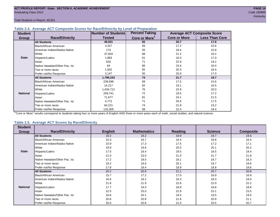Total Students in Report: 49,551

#### **Table 2.4. Average ACT Composite Scores for Race/Ethnicity by Level of Preparation**

| <b>Student</b>  |                                 | <b>Number of Students</b> | <b>Percent Taking</b>     |                     | <b>Average ACT Composite Score</b> |
|-----------------|---------------------------------|---------------------------|---------------------------|---------------------|------------------------------------|
| Group           | <b>Race/Ethnicity</b>           | <b>Tested</b>             | Core or More <sup>1</sup> | <b>Core or More</b> | <b>Less Than Core</b>              |
|                 | <b>All Students</b>             | 49,551                    | 65                        | 20.7                | 17.8                               |
|                 | <b>Black/African American</b>   | 4,327                     | 56                        | 17.2                | 15.6                               |
|                 | American Indian/Alaska Native   | 174                       | 55                        | 18.4                | 15.8                               |
|                 | <b>I</b> White                  | 37,834                    | 68                        | 21.2                | 18.2                               |
| <b>State</b>    | Hispanic/Latino                 | 1,883                     | 61                        | 19.3                | 17.0                               |
|                 | Asian                           | 620                       | 71                        | 22.9                | 19.2                               |
|                 | Native Hawaiian/Other Pac. Isl. | 64                        | 66                        | 19.4                | 16.4                               |
|                 | I Two or more races             | 1,502                     | 65                        | 20.3                | 18.4                               |
|                 | Prefer not/No Response          | 3,147                     | 50                        | 20.0                | 17.0                               |
|                 | <b>All Students</b>             | 1,799,243                 | 74                        | 21.7                | 18.7                               |
|                 | Black/African American          | 239,598                   | 69                        | 17.5                | 15.6                               |
|                 | American Indian/Alaska Native   | 14,217                    | 62                        | 19.1                | 16.5                               |
|                 | <b>I</b> White                  | 1,034,712                 | 76                        | 22.9                | 20.0                               |
| <b>National</b> | Hispanic/Latino                 | 259,741                   | 72                        | 19.5                | 17.2                               |
|                 | Asian                           | 71,677                    | 81                        | 24.1                | 21.5                               |
|                 | Native Hawaiian/Other Pac. Isl. | 4,772                     | 71                        | 20.5                | 17.5                               |
|                 | Two or more races               | 64,221                    | 74                        | 21.9                | 19.2                               |
|                 | Prefer not/No Response          | 110,305                   | 58                        | 22.4                | 18.4                               |

<sup>1</sup>"Core or More" results correspond to students taking four or more years of English AND three or more years each of math, social studies, and natural science.

#### **Table 2.5. Average ACT Scores by Race/Ethnicity**

| <b>Student</b>  |                                 |                |                    |         |                |                  |
|-----------------|---------------------------------|----------------|--------------------|---------|----------------|------------------|
| Group           | <b>Race/Ethnicity</b>           | <b>English</b> | <b>Mathematics</b> | Reading | <b>Science</b> | <b>Composite</b> |
|                 | <b>All Students</b>             | 19.2           | 19.2               | 19.9    | 19.7           | 19.6             |
|                 | Black/African American          | 15.3           | 16.7               | 16.4    | 16.8           | 16.4             |
|                 | American Indian/Alaska Native   | 15.9           | 17.3               | 17.5    | 17.2           | 17.1             |
|                 | White                           | 19.9           | 19.6               | 20.5    | 20.1           | 20.2             |
| <b>State</b>    | Hispanic/Latino                 | 17.5           | 18.4               | 18.5    | 18.5           | 18.4             |
|                 | Asian                           | 21.0           | 23.0               | 21.0    | 21.7           | 21.8             |
|                 | Native Hawaiian/Other Pac. Isl. | 17.2           | 18.5               | 18.1    | 18.7           | 18.3             |
|                 | Two or more races               | 19.2           | 19.0               | 20.1    | 19.7           | 19.6             |
|                 | Prefer not/No Response          | 17.8           | 18.4               | 18.9    | 18.8           | 18.6             |
|                 | <b>All Students</b>             | 20.2           | 20.9               | 21.1    | 20.7           | 20.9             |
|                 | <b>Black/African American</b>   | 15.7           | 17.2               | 17.0    | 16.9           | 16.9             |
|                 | American Indian/Alaska Native   | 16.6           | 18.2               | 18.3    | 18.3           | 18.0             |
|                 | <b>White</b>                    | 21.8           | 21.9               | 22.6    | 22.0           | 22.2             |
| <b>National</b> | Hispanic/Latino                 | 17.7           | 19.3               | 18.9    | 18.8           | 18.8             |
|                 | Asian                           | 22.5           | 25.0               | 22.9    | 23.1           | 23.5             |
|                 | Native Hawaiian/Other Pac. Isl. | 18.6           | 20.1               | 19.5    | 19.5           | 19.5             |
|                 | Two or more races               | 20.6           | 20.9               | 21.6    | 20.9           | 21.1             |
|                 | Prefer not/No Response          | 20.0           | 20.8               | 21.0    | 20.5           | 20.7             |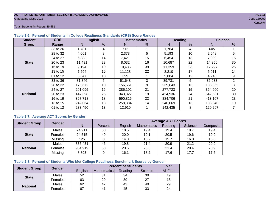#### **ACT PROFILE REPORT- State: SECTION II, ACADEMIC ACHIEVEMENT PAGE 15** Graduating Class 2013 Code 189999

Total Students in Report: 49,551

| <b>Student</b>  | <b>CRS</b> |         | <b>English</b> |         | <b>Mathematics</b> |         | <b>Reading</b> |         | <b>Science</b> |
|-----------------|------------|---------|----------------|---------|--------------------|---------|----------------|---------|----------------|
| Group           | Range      | N       | %              | N       | %                  | N       | %              | N       | %              |
|                 | 33 to 36   | 1,781   | 4              | 712     |                    | 1,764   | 4              | 605     |                |
|                 | 28 to 32   | 4,061   | 8              | 2,373   | 5                  | 5,193   | 10             | 2,648   | 5              |
|                 | 24 to 27   | 6,883   | 14             | 7,421   | 15                 | 6,454   | 13             | 7,900   | 16             |
| <b>State</b>    | 20 to 23   | 11,491  | 23             | 8,032   | 16                 | 10,687  | 22             | 14,950  | 30             |
|                 | 16 to 19   | 9.194   | 19             | 19,486  | 39                 | 11,359  | 23             | 12,297  | 25             |
|                 | 13 to 15   | 7,294   | 15             | 11,128  | 22                 | 8,210   | 17             | 6,911   | 14             |
|                 | 01 to 12   | 8,847   | 18             | 399     |                    | 5,884   | 12             | 4,240   | 9              |
|                 | 33 to 36   | 81,846  | 5              | 51,648  | 3                  | 89,731  | 5              | 36,033  | $\overline{2}$ |
|                 | 28 to 32   | 175,672 | 10             | 156,561 | 9                  | 239,643 | 13             | 138,865 | 8              |
|                 | 24 to 27   | 291.095 | 16             | 385,102 | 21                 | 277.723 | 15             | 364,600 | 20             |
| <b>National</b> | 20 to 23   | 447,398 | 25             | 343.822 | 19                 | 424,936 | 24             | 542.531 | 30             |
|                 | 16 to 19   | 327,718 | 18             | 590,816 | 33                 | 384.706 | 21             | 413,107 | 23             |
|                 | 13 to 15   | 242,064 | 13             | 258,384 | 14                 | 240,069 | 13             | 183,840 | 10             |
|                 | 01 to 12   | 233,450 | 13             | 12,910  |                    | 142,435 | 8              | 120,267 |                |

### **Table 2.6. Percent of Students in College Readiness Standards (CRS) Score Ranges**

### **Table 2.7. Average ACT Scores by Gender**

| <b>Student Group</b> | <b>Gender</b> |         |         | <b>Average ACT Scores</b> |             |         |         |           |  |  |  |
|----------------------|---------------|---------|---------|---------------------------|-------------|---------|---------|-----------|--|--|--|
|                      |               | N       | Percent | English                   | Mathematics | Reading | Science | Composite |  |  |  |
|                      | Males         | 24,911  | 50      | 18.5                      | 19.4        | 19.4    | 19.7    | 19.4      |  |  |  |
| <b>State</b>         | Females       | 24,515  | 49      | 20.0                      | 19.1        | 20.5    | 19.6    | 19.9      |  |  |  |
|                      | Missing       | 125     | 0       | 14.0                      | 16.2        | 15.7    | 16.0    | 15.6      |  |  |  |
|                      | Males         | 835,431 | 46      | 19.8                      | 21.4        | 20.9    | 21.2    | 20.9      |  |  |  |
| <b>National</b>      | Females       | 954,919 | 53      | 20.6                      | 20.5        | 21.4    | 20.4    | 20.9      |  |  |  |
|                      | Missing       | 8,893   | 0       | 16.1                      | 18.2        | 17.6    | 17.7    | 17.5      |  |  |  |

#### **Table 2.8. Percent of Students Who Met College Readiness Benchmark Scores by Gender**

| <b>Student Group</b> | <b>Gender</b> |         |                | <b>Percent of Students</b> |         | Met      |
|----------------------|---------------|---------|----------------|----------------------------|---------|----------|
|                      |               | English | Mathematics    | Reading                    | Science | All Four |
| <b>State</b>         | Males         | 52      | 31             | 34                         | 30      | 19       |
|                      | Females       | 63      | 29             | 39                         | 27      | 18       |
|                      | Males         | 62      | 47             | 43                         | 40      | 29       |
| <b>National</b>      | Females       | 67      | 4 <sup>1</sup> | 45                         | 33      | 24       |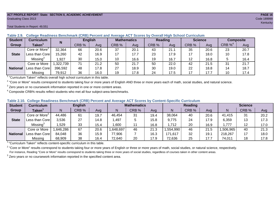#### **ACT PROFILE REPORT- State: SECTION II, ACADEMIC ACHIEVEMENT PAGE 16** Graduating Class 2013 Code 189999

1

| <b>Student</b>  | <b>Curriculum</b>                       | N       | <b>English</b> |      | <b>Mathematics</b> |      | Reading |      | <b>Science</b> |      | <b>Composite</b> |      |
|-----------------|-----------------------------------------|---------|----------------|------|--------------------|------|---------|------|----------------|------|------------------|------|
| Group           | Taken $^{\scriptscriptstyle\mathsf{T}}$ |         | CRB %          | Avg  | CRB %              | Avg  | CRB %   | Avg  | CRB %          | Avg  | CRB $\%^4$       | Avg  |
|                 | Core or More <sup>2</sup>               | 32,364  | 66             | 20.6 | 37                 | 20.1 | 43      | 21.1 | 35             | 20.6 | 23               | 20.7 |
| <b>State</b>    | Less than Core                          | 15,260  | 42             | 16.9 | 17                 | 17.7 | 23      | 17.9 | 17             | 18.0 | 10               | 17.8 |
|                 | Missing <sup>3</sup>                    | 1,927   | 30             | 15.0 | 10                 | 16.6 | 19      | 16.7 | 12             | 16.8 |                  | 16.4 |
|                 | Core or More                            | 322,739 | 71             | 21.2 | 50                 | 21.7 | 50      | 22.0 | 42             | 21.5 | 31               | 21.7 |
| <b>National</b> | Less than Corel                         | 396,592 | 48             | 17.8 | 27                 | 18.9 | 30      | 19.0 | 22             | 18.8 | 14               | 18.7 |
|                 | Missing                                 | 79,912  | 36             | 16.0 | 19                 | 17.8 | 24      | 17.5 | 17             | 17.7 | 10               | 17.4 |

**Table 2.9. College Readiness Benchmark (CRB) Percent and Average ACT Scores by Overall High School Curriculum**

"Curriculum Taken" reflects overall high school curriculum in this table.

 $^2$  "Core or More" results correspond to students taking four or more years of English AND three or more years each of math, social studies, and natural science.

 $3$  Zero years or no coursework information reported in one or more content areas.

 $4$  Composite CRB% results reflect students who met all four subject-area benchmarks.

| Table 2.10. College Readiness Benchmark (CRB) Percent and Average ACT Scores by Content-Specific Curriculum |
|-------------------------------------------------------------------------------------------------------------|
|-------------------------------------------------------------------------------------------------------------|

| <b>Student</b>  | Curriculum                |          | <b>English</b> |      |          | <b>Mathematics</b> |      |          | <b>Reading</b> |      |          | <b>Science</b> |      |  |
|-----------------|---------------------------|----------|----------------|------|----------|--------------------|------|----------|----------------|------|----------|----------------|------|--|
| Group           | <b>Taken</b>              |          | CRB %          | Avg  |          | CRB %              | Avg  | N        | CRB %          | Avg  | N        | CRB %          | Avg  |  |
|                 | Core or More <sup>2</sup> | 44,486   | 61             | 19.7 | 46,454   | 31                 | 19.4 | 38,064   | 40             | 20.6 | 41,415   | 31             | 20.2 |  |
| <b>State</b>    | Less than Core            | 3,536    | 27             | 14.8 | .497     |                    | 15.8 | 9,775    | 24             | 17.9 | 6,359    | 13             | 17.3 |  |
|                 | Missing                   | ,529     | 33             | 15.4 | ,600     | 11                 | 16.8 | .712     | 20             | 16.9 | 1,777    | 12             | 17.0 |  |
|                 | Core or More              | ,646,286 | 67             | 20.6 | ,648,697 | 46                 | 21.3 | .554,990 | 46             | 21.5 | ,506,965 | 40             | 21.3 |  |
| <b>National</b> | Less than Core            | 84,048   | 36             | 15.9 | 77,906   |                    | 16.3 | 171,617  | 32             | 19.1 | 218,267  |                | 18.0 |  |
|                 | Missing                   | 68,909   | 38             | 16.4 | 72,640   | 20                 | 17.9 | 72,636   | 25             | 17.7 | 74,011   | 18             | 17.8 |  |

<sup>1</sup>"Curriculum Taken" reflects content-specific curriculum in this table.

<sup>2</sup> "Core or More" results correspond to students taking four or more years of English or three or more years of math, social studies, or natural science, respectively. For instance, Reading "Core or More" results correspond to students taking three or more years of social studies, regardless of courses taken in other content areas.

 $3$  Zero years or no coursework information reported in the specified content area.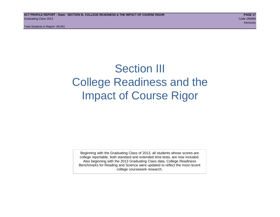Total Students in Report: 49,551

# Section III College Readiness and the Impact of Course Rigor

Beginning with the Graduating Class of 2013, all students whose scores are college reportable, both standard and extended time tests, are now included. Also beginning with the 2013 Graduating Class data, College Readiness Benchmarks for Reading and Science were updated to reflect the most recent college coursework research.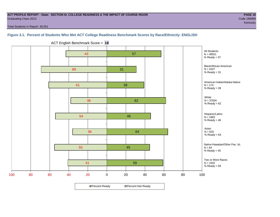#### **ACT PROFILE REPORT - State: SECTION III, COLLEGE READINESS & THE IMPACT OF COURSE RIGOR PAGE 18** Graduating Class 2013 Code 189999

kentucky – Kentucky – Kentucky – Kentucky – Kentucky – Kentucky – Kentucky – Kentucky – Kentucky

Total Students in Report: 49,551

# **Figure 3.1. Percent of Students Who Met ACT College Readiness Benchmark Scores by Race/Ethnicity: ENGLISH**



ACT English Benchmark Score = **18**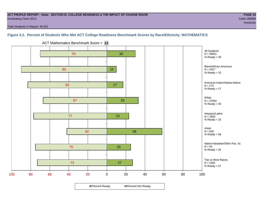#### **ACT PROFILE REPORT - State: SECTION III, COLLEGE READINESS & THE IMPACT OF COURSE RIGOR PAGE 19** Graduating Class 2013 Code 189999

Total Students in Report: 49,551

# **Figure 3.2. Percent of Students Who Met ACT College Readiness Benchmark Scores by Race/Ethnicity: MATHEMATICS**



ACT Mathematics Benchmark Score = **22**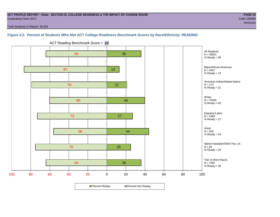#### **ACT PROFILE REPORT - State: SECTION III, COLLEGE READINESS & THE IMPACT OF COURSE RIGOR PAGE 20** Graduating Class 2013 Code 189999

Total Students in Report: 49,551

### **Figure 3.3. Percent of Students Who Met ACT College Readiness Benchmark Scores by Race/Ethnicity: READING**



ACT Reading Benchmark Score = **22**

**□ Percent Ready DPercent Not Ready**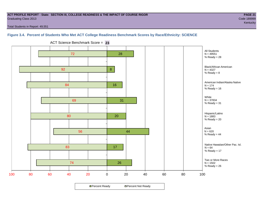#### **ACT PROFILE REPORT - State: SECTION III, COLLEGE READINESS & THE IMPACT OF COURSE RIGOR PAGE 21** Graduating Class 2013 Code 189999

Total Students in Report: 49,551

# **Figure 3.4. Percent of Students Who Met ACT College Readiness Benchmark Scores by Race/Ethnicity: SCIENCE**



ACT Science Benchmark Score = **23**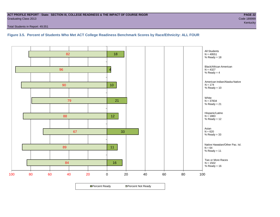#### **ACT PROFILE REPORT - State: SECTION III, COLLEGE READINESS & THE IMPACT OF COURSE RIGOR PAGE 22** Graduating Class 2013 Code 189999

Total Students in Report: 49,551

**Figure 3.5. Percent of Students Who Met ACT College Readiness Benchmark Scores by Race/Ethnicity: ALL FOUR**

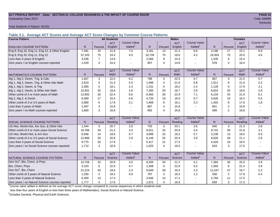#### **ACT PROFILE REPORT - State: SECTION III, COLLEGE READINESS & THE IMPACT OF COURSE RIGOR PAGE 23** Graduating Class 2013 Code 189999

Total Students in Report: 49,551

**Table 3.1. Average ACT Scores and Average ACT Score Changes by Common Course Patterns**

| <b>Course Pattern</b>                            |        |                | <b>All Students</b> |                     | <b>Males</b><br><b>Females</b> |                |            |                          |              |                |             |                        |
|--------------------------------------------------|--------|----------------|---------------------|---------------------|--------------------------------|----------------|------------|--------------------------|--------------|----------------|-------------|------------------------|
|                                                  |        |                | <b>ACT</b>          | <b>Course Value</b> |                                |                | <b>ACT</b> | <b>Course Value</b>      |              |                | <b>ACT</b>  | <b>Course Value</b>    |
| <b>ENGLISH COURSE PATTERN</b>                    | N.     | Percent        | English             | Added <sup>1</sup>  | $\mathsf{N}$                   | Percent        | English    | Added <sup>1</sup>       | $\mathsf{N}$ | Percent        | English     | A d d e d <sup>1</sup> |
| Eng 9, Eng 10, Eng 11, Eng 12, & Other English   | 7,381  | 15             | 21.8                | 7.0                 | 3,181                          | 13             | 21.2       | 6.8                      | 4,198        | 17             | 22.2        | 6.8                    |
| Eng 9, Eng 10, Eng 11, Eng 12                    | 37,105 | 75             | 19.3                | 4.5                 | 18,739                         | 75             | 18.6       | 4.2                      | 18,304       | 75             | 20.0        | 4.6                    |
| Less than 4 years of English                     | 3,536  | $\overline{7}$ | 14.8                |                     | 2,084                          | 8              | 14.4       | $\sim$                   | 1,435        | 6              | 15.4        |                        |
| Zero years / no English courses reported         | 1,529  | 3              | 15.4                |                     | 907                            | $\overline{4}$ | 14.8       |                          | 578          | 2              | 16.4        |                        |
|                                                  |        |                | <b>ACT</b>          | <b>Course Value</b> |                                |                | <b>ACT</b> | <b>Course Value</b>      |              |                | <b>ACT</b>  | <b>Course Value</b>    |
| <b>MATHEMATICS COURSE PATTERN</b>                | N.     | Percent        | Math                | Added <sup>1</sup>  | $\mathsf{N}$                   | Percent        | Math       | Added <sup>1</sup>       | N            | Percent        | <b>Math</b> | A d d e d <sup>1</sup> |
| Alg 1, Alg 2, Geom, Trig, & Calc                 | 1,607  | 3              | 22.0                | 6.2                 | 798                            | 3              | 22.5       | 6.7                      | 807          | 3              | 21.5        | $\overline{5.7}$       |
| Alg 1, Alg 2, Geom, Trig, & Other Adv Math       | 2,610  | 5              | 21.3                | 5.5                 | 1,096                          | $\overline{4}$ | 21.6       | 5.8                      | 1,511        | 6              | 21.0        | 5.2                    |
| Alg 1, Alg 2, Geom, & Trig                       | 2,365  | 5              | 18.1                | 2.3                 | 1,231                          | 5              | 18.2       | 2.4                      | 1,128        | 5              | 17.9        | 2.1                    |
| Alg 1, Alg 2, Geom, & Other Adv Math             | 15,931 | 32             | 18.6                | 2.8                 | 7,295                          | 29             | 18.7       | 2.9                      | 8,624        | 35             | 18.6        | 2.8                    |
| Other comb of 4 or more years of Math            | 12,692 | 26             | 22.4                | 6.6                 | 6,460                          | 26             | 22.9       | 7.1                      | 6,216        | 25             | 21.9        | 6.1                    |
| Alg 1, Alg 2, & Geom                             | 8,369  | 17             | 16.4                | 0.6                 | 4,720                          | 19             | 16.5       | 0.7                      | 3,626        | 15             | 16.3        | 0.5                    |
| Other comb of 3 or 3.5 years of Math             | 2.880  | 6              | 17.9                | 2.1                 | 1,469                          | 6              | 18.1       | 2.3                      | 1,403        | 6              | 17.6        | 1.8                    |
| Less than 3 years of Math                        | 1,497  | 3              | 15.8                |                     | 887                            | $\overline{4}$ | 15.8       | $\overline{\phantom{a}}$ | 601          | $\mathbf{2}$   | 15.8        |                        |
| Zero years / no Math courses reported            | 1,600  | 3              | 16.8                |                     | 955                            | $\overline{4}$ | 16.8       | $\blacksquare$           | 599          | $\overline{2}$ | 16.8        |                        |
|                                                  |        |                | <b>ACT</b>          | <b>Course Value</b> |                                |                | <b>ACT</b> | <b>Course Value</b>      |              |                | <b>ACT</b>  | <b>Course Value</b>    |
| <b>SOCIAL SCIENCE COURSE PATTERN</b>             | N.     | Percent        | Reading             | Added <sup>1</sup>  | N                              | Percent        | Reading    | Added                    | N            | Percent        | Reading     | A d d e d <sup>1</sup> |
| US Hist, World Hist, Am Gov, & Other Hist        | 1,344  | 3              | 20.7                | $2.8\,$             | 703                            | 3              | 20.1       | 2.6                      | 640          | 3              | 21.3        | 2.8                    |
| Other comb of 4 or more years Social Science     | 16,786 | 34             | 21.2                | 3.3                 | 8,021                          | 32             | 20.9       | 3.4                      | 8,741        | 36             | 21.6        | 3.1                    |
| US Hist, World Hist, & Am Gov                    | 6,948  | 14             | 18.6                | 0.7                 | 3,699                          | 15             | 18.2       | 0.7                      | 3,236        | 13             | 19.0        | 0.5                    |
| Other comb of 3 or 3.5 years of Social Science   | 12,986 | 26             | 20.8                | 2.9                 | 6,146                          | 25             | 20.4       | 2.9                      | 6,826        | 28             | 21.1        | 2.6                    |
| Less than 3 years of Social Science              | 9,775  | 20             | 17.9                |                     | 5,317                          | 21             | 17.5       | $\sim$                   | 4,429        | 18             | 18.5        |                        |
| Zero years / no Social Science courses reported  | 1,712  | 3              | 16.9                |                     | 1,025                          | $\overline{4}$ | 16.5       | $\blacksquare$           | 643          | 3              | 17.5        |                        |
|                                                  |        |                | <b>ACT</b>          | <b>Course Value</b> |                                |                | <b>ACT</b> | <b>Course Value</b>      |              |                | <b>ACT</b>  | <b>Course Value</b>    |
| NATURAL SCIENCE COURSE PATTERN                   | N.     | Percent        | Science             | Added <sup>1</sup>  | $\mathsf{N}$                   | Percent        | Science    | Added <sup>1</sup>       | $\mathsf{N}$ | Percent        | Science     | A d d e d <sup>1</sup> |
| Gen Sci <sup>2</sup> , Bio, Chem, & Phys         | 15,758 | 32             | 20.8                | 3.5                 | 8,349                          | 34             | 21.2       | 4.1                      | 7,384        | 30             | 20.3        | 2.8                    |
| Bio, Chem, Phys                                  | 3.103  | 6              | 22.0                | 4.7                 | 1,508                          | 6              | 22.6       | 5.5                      | 1,593        | 6              | 21.4        | 3.9                    |
| Gen Sci <sup>2</sup> , Bio, Chem                 | 21,224 | 43             | 19.6                | 2.3                 | 9,649                          | 39             | 19.4       | 2.3                      | 11,547       | 47             | 19.7        | 2.2                    |
| Other comb of 3 years of Natural Science         | 1,330  | 3              | 18.2                | 0.9                 | 787                            | $\mathbf{3}$   | 18.3       | 1.2                      | 538          | $\mathbf{2}$   | 17.9        | 0.4                    |
| Less than 3 years of Natural Science             | 6,359  | 13             | 17.3                |                     | 3,546                          | 14             | 17.1       |                          | 2,794        | 11             | 17.5        |                        |
| Zero years / no Natural Science courses reported | 1,777  | $\overline{4}$ | 17.0                |                     | 1,072                          | $\overline{4}$ | 16.9       |                          | 659          | 3              | 17.3        |                        |

<sup>1</sup>Course value added is defined as the average ACT score change compared to course sequences in which students took

less than four years of English or less than three years of Mathematics, Social Science or Natural Science.

<sup>2</sup>Includes General, Physical and Earth Sciences.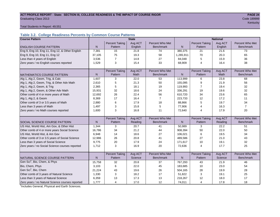#### ACT PROFILE REPORT - State: SECTION III, COLLEGE READINESS & THE IMPACT OF COURSE RIGOR **PAGE 24 Graduating Class 2013** Code 189999

kentucky – kontucky – kontucky – kontucky – kontucky – kontucky – kontucky – kontucky – kontucky – kontucky –

Total Students in Report: 49,551

# **Table 3.2. College Readiness Percents by Common Course Patterns**

| <b>Course Pattern</b>                            |              |                       | <b>State</b> |                  | <b>National</b> |                       |         |                  |  |  |
|--------------------------------------------------|--------------|-----------------------|--------------|------------------|-----------------|-----------------------|---------|------------------|--|--|
|                                                  |              | <b>Percent Taking</b> | Avg ACT      | Percent Who Met  |                 | <b>Percent Taking</b> | Avg ACT | Percent Who Met  |  |  |
| <b>ENGLISH COURSE PATTERN</b>                    | $\mathsf{N}$ | Pattern               | English      | <b>Benchmark</b> | N               | Pattern               | English | <b>Benchmark</b> |  |  |
| Eng 9, Eng 10, Eng 11, Eng 12, & Other English   | 7,381        | 15                    | 21.8         | 74               | 380,375         | 21                    | 21.6    | 73               |  |  |
| Eng 9, Eng 10, Eng 11, Eng 12                    | 37,105       | 75                    | 19.3         | 58               | 1,265,911       | 70                    | 20.3    | 65               |  |  |
| Less than 4 years of English                     | 3,536        | $\overline{7}$        | 14.8         | 27               | 84,048          | 5                     | 15.9    | 36               |  |  |
| Zero years / no English courses reported         | 1,529        | 3                     | 15.4         | 33               | 68,909          | $\overline{4}$        | 16.4    | 38               |  |  |
|                                                  |              |                       |              |                  |                 |                       |         |                  |  |  |
|                                                  |              | <b>Percent Taking</b> | Avg ACT      | Percent Who Met  |                 | <b>Percent Taking</b> | Avg ACT | Percent Who Met  |  |  |
| <b>MATHEMATICS COURSE PATTERN</b>                | N            | Pattern               | <b>Math</b>  | <b>Benchmark</b> | N               | Pattern               | Math    | <b>Benchmark</b> |  |  |
| Alg 1, Alg 2, Geom, Trig, & Calc                 | 1,607        | 3                     | 22.0         | 53               | 113,999         | 6                     | 23.8    | 68               |  |  |
| Alg 1, Alg 2, Geom, Trig, & Other Adv Math       | 2,610        | 5                     | 21.3         | 50               | 155,095         | 9                     | 21.9    | 56               |  |  |
| Alg 1, Alg 2, Geom, & Trig                       | 2,365        | 5                     | 18.1         | 19               | 119,993         | 7                     | 19.4    | 32               |  |  |
| Alg 1, Alg 2, Geom, & Other Adv Math             | 15,931       | 32                    | 18.6         | 24               | 336,291         | 19                    | 19.6    | 32               |  |  |
| Other comb of 4 or more years of Math            | 12,692       | 26                    | 22.4         | 56               | 610,720         | 34                    | 23.6    | 65               |  |  |
| Alg 1, Alg 2, & Geom                             | 8,369        | 17                    | 16.4         | $\overline{7}$   | 223,733         | 12                    | 17.2    | 11               |  |  |
| Other comb of 3 or 3.5 years of Math             | 2,880        | 6                     | 17.9         | 18               | 88,866          | 5                     | 19.7    | 34               |  |  |
| Less than 3 years of Math                        | 1,497        | 3                     | 15.8         | 5                | 77,906          | 4                     | 16.3    | $\overline{7}$   |  |  |
| Zero years / no Math courses reported            | 1,600        | 3                     | 16.8         | 11               | 72,640          | 4                     | 17.9    | 20               |  |  |
|                                                  |              |                       |              |                  |                 |                       |         |                  |  |  |
|                                                  |              | <b>Percent Taking</b> | Avg ACT      | Percent Who Met  |                 | <b>Percent Taking</b> | Avg ACT | Percent Who Met  |  |  |
| SOCIAL SCIENCE COURSE PATTERN                    | N            | Pattern               | Reading      | <b>Benchmark</b> | $\mathsf{N}$    | Pattern               | Reading | <b>Benchmark</b> |  |  |
| US Hist, World Hist, Am Gov, & Other Hist        | 1,344        | 3                     | 20.7         | 41               | 50,989          | 3                     | 22.2    | 51               |  |  |
| Other comb of 4 or more years Social Science     | 16,786       | 34                    | 21.2         | 44               | 908,394         | 50                    | 22.0    | 50               |  |  |
| US Hist, World Hist, & Am Gov                    | 6,948        | 14                    | 18.6         | 27               | 106,021         | 6                     | 19.5    | 34               |  |  |
| Other comb of 3 or 3.5 years of Social Science   | 12,986       | 26                    | 20.8         | 41               | 489,586         | 27                    | 21.0    | 43               |  |  |
| Less than 3 years of Social Science              | 9,775        | 20                    | 17.9         | 24               | 171,617         | 10                    | 19.1    | 32               |  |  |
| Zero years / no Social Science courses reported  | 1,712        | 3                     | 16.9         | 20               | 72,636          | $\overline{4}$        | 17.7    | 25               |  |  |
|                                                  |              |                       |              |                  |                 |                       |         |                  |  |  |
|                                                  |              | <b>Percent Taking</b> | Avg ACT      | Percent Who Met  |                 | <b>Percent Taking</b> | Avg ACT | Percent Who Met  |  |  |
| NATURAL SCIENCE COURSE PATTERN                   | N            | Pattern               | Science      | <b>Benchmark</b> | N               | Pattern               | Science | <b>Benchmark</b> |  |  |
| Gen Sci <sup>1</sup> , Bio, Chem, & Phys         | 15,758       | 32                    | 20.8         | 37               | 767,293         | 43                    | 21.9    | 46               |  |  |
| Bio, Chem, Phys                                  | 3,103        | 6                     | 22.0         | 45               | 183,685         | 10                    | 23.0    | 54               |  |  |
| Gen Sci <sup>1</sup> , Bio, Chem                 | 21,224       | 43                    | 19.6         | 26               | 504,165         | 28                    | 19.9    | 28               |  |  |
| Other comb of 3 years of Natural Science         | 1,330        | 3                     | 18.2         | 17               | 51,822          | 3                     | 19.1    | 25               |  |  |
| Less than 3 years of Natural Science             | 6,359        | 13                    | 17.3         | 13               | 218,267         | 12                    | 18.0    | 17               |  |  |
| Zero years / no Natural Science courses reported | 1,777        | 4                     | 17.0         | 12               | 74,011          | 4                     | 17.8    | 18               |  |  |

<sup>1</sup>Includes General, Physical and Earth Sciences.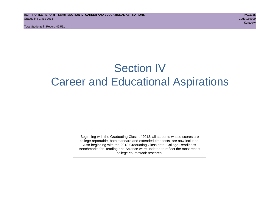Total Students in Report: 49,551

# Section IV Career and Educational Aspirations

Beginning with the Graduating Class of 2013, all students whose scores are college reportable, both standard and extended time tests, are now included. Also beginning with the 2013 Graduating Class data, College Readiness Benchmarks for Reading and Science were updated to reflect the most recent college coursework research.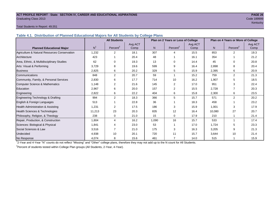#### **ACT PROFILE REPORT - State: SECTION IV, CAREER AND EDUCATIONAL ASPIRATIONS PAGE 26** Graduating Class 2013 Code 189999

# kentucky – Kentucky – Kentucky – Kentucky – Kentucky – Kentucky – Kentucky – Kentucky – Kentucky

#### Total Students in Report: 49,551

**Table 4.1. Distribution of Planned Educational Majors for All Students by College Plans**

|                                              |                | <b>All Students</b>  |                 |       | Plan on 2 Years or Less of College |                 |                | Plan on 4 Years or More of College |                 |
|----------------------------------------------|----------------|----------------------|-----------------|-------|------------------------------------|-----------------|----------------|------------------------------------|-----------------|
| <b>Planned Educational Major</b>             | N <sup>1</sup> | Percent <sup>2</sup> | Avg ACT<br>Comp | N     | Percent <sup>2</sup>               | Avg ACT<br>Comp | N <sub>1</sub> | Percent <sup>2</sup>               | Avg ACT<br>Comp |
| Agriculture & Natural Resources Conservation | 1,232          | 2                    | 18.1            | 307   | 4                                  | 15.5            | 853            | 2                                  | 19.3            |
| Architecture                                 | 423            |                      | 20.4            | 48    |                                    | 16.1            | 354            |                                    | 21.2            |
| Area, Ethnic, & Multidisciplinary Studies    | 62             | $\Omega$             | 19.3            | 13    | $\Omega$                           | 14.4            | 45             | $\Omega$                           | 20.8            |
| Arts: Visual & Performing                    | 3,729          | 8                    | 19.6            | 599   | 9                                  | 16.4            | 2,898          | 8                                  | 20.4            |
| <b>Business</b>                              | 2,825          | 6                    | 20.2            | 329   | 5                                  | 15.9            | 2,395          | 6                                  | 20.9            |
| Communications                               | 848            | $\overline{2}$       | 20.7            | 59    |                                    | 15.2            | 759            | 2                                  | 21.3            |
| Community, Family, & Personal Services       | 2,830          | 6                    | 17.7            | 714   | 10                                 | 16.2            | 1,907          | 5                                  | 18.5            |
| <b>Computer Science &amp; Mathematics</b>    | 1,148          | $\overline{2}$       | 21.6            | 145   | 2                                  | 17.0            | 951            | 3                                  | 22.4            |
| Education                                    | 2,967          | 6                    | 20.0            | 157   | 2                                  | 15.5            | 2,728          |                                    | 20.3            |
| Engineering                                  | 2,822          | 6                    | 22.2            | 404   | 6                                  | 15.8            | 2,300          | 6                                  | 23.5            |
| Engineering Technology & Drafting            | 994            | 2                    | 18.3            | 366   | 5                                  | 15.7            | 571            | $\overline{2}$                     | 20.2            |
| English & Foreign Languages                  | 513            |                      | 22.8            | 36    |                                    | 18.3            | 458            |                                    | 23.2            |
| Health Administration & Assisting            | 1,231          | 2                    | 17.5            | 186   | 3                                  | 15.9            | 1,001          | 3                                  | 17.9            |
| Health Sciences & Technologies               | 11,213         | 23                   | 20.3            | 835   | 12                                 | 16.4            | 10,080         | 27                                 | 20.7            |
| Philosophy, Religion, & Theology             | 238            | 0                    | 21.0            | 15    | $\Omega$                           | 17.9            | 210            |                                    | 21.4            |
| Repair, Production, & Construction           | 1,804          | 4                    | 16.2            | 1,090 | 16                                 | 15.7            | 533            |                                    | 17.4            |
| Sciences: Biological & Physical              | 1,841          | 4                    | 23.0            | 53    |                                    | 17.0            | 1,724          | 5                                  | 23.3            |
| Social Sciences & Law                        | 3,516          |                      | 21.0            | 175   | 3                                  | 16.3            | 3,205          | 9                                  | 21.3            |
| Undecided                                    | 4,938          | 10                   | 20.1            | 720   | 11                                 | 15.7            | 3,644          | 10                                 | 21.4            |
| No Response                                  | 4,074          | 8                    | 15.6            | 461   |                                    | 14.0            | 515            |                                    | 15.9            |

1 2-Year and 4-Year "N" counts do not reflect "Missing" and "Other" college plans, therefore they may not add up to the N count for All Students.

<sup>2</sup> Percent of students tested within College Plan groups (All Students, 2-Year, 4-Year).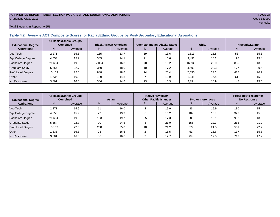#### **ACT PROFILE REPORT - State: SECTION IV, CAREER AND EDUCATIONAL ASPIRATIONS PAGE 27** Graduating Class 2013 Code 189999

#### Total Students in Report: 49,551

# **Table 4.2. Average ACT Composite Scores for Racial/Ethnic Groups by Post-Secondary Educational Aspirations**

| <b>Educational Degree</b> | <b>All Racial/Ethnic Groups</b><br><b>Combined</b> |         | <b>Black/African American</b> |         |    | American Indian/ Alaska Native |        | White   | Hispanic/Latino |         |  |
|---------------------------|----------------------------------------------------|---------|-------------------------------|---------|----|--------------------------------|--------|---------|-----------------|---------|--|
| <b>Aspirations</b>        | N.                                                 | Average | N.                            | Average | N. | Average                        | N      | Average | N.              | Average |  |
| Voc-Tech                  | 2.271                                              | 15.6    | 155                           | 13.7    | 19 | 13.6                           | 1,813  | 15.8    | 53              | 15.6    |  |
| 2-yr College Degree       | 4,553                                              | 15.9    | 385                           | 14.1    | 21 | 15.6                           | 3.493  | 16.2    | 195             | 15.4    |  |
| <b>Bachelors Degree</b>   | 21.634                                             | 19.5    | 2,094                         | 16.3    | 70 | 18.2                           | 16.736 | 20.0    | 835             | 18.3    |  |
| <b>Graduate Study</b>     | 5.554                                              | 22.7    | 350                           | 18.0    | 10 | 17.2                           | 4,503  | 23.3    | 177             | 20.5    |  |
| Prof. Level Degree        | 10.103                                             | 22.6    | 848                           | 18.6    | 24 | 20.4                           | 7.650  | 23.2    | 415             | 20.7    |  |
| Other                     | 1,635                                              | 16.3    | 109                           | 14.8    |    | 13.9                           | 1,245  | 16.4    | 61              | 15.9    |  |
| No Response               | 3,801                                              | 16.6    | 386                           | 14.6    | 23 | 15.3                           | 2,394  | 16.9    | 147             | 15.5    |  |

| <b>Educational Degree</b> | <b>All Racial/Ethnic Groups</b><br><b>Combined</b> |         | Asian |         |              | Native Hawaiian/<br><b>Other Pacific Islander</b> |     | Two or more races | Prefer not to respond/<br><b>No Response</b> |         |  |
|---------------------------|----------------------------------------------------|---------|-------|---------|--------------|---------------------------------------------------|-----|-------------------|----------------------------------------------|---------|--|
| <b>Aspirations</b>        | N.                                                 | Average | N.    | Average | Average<br>N |                                                   | N   | Average           | N                                            | Average |  |
| Voc-Tech                  | 2.271                                              | 15.6    |       | 16.0    |              | 15.0                                              | 36  | 15.9              | 180                                          | 15.4    |  |
| 2-yr College Degree       | 4,553                                              | 15.9    | 29    | 13.9    |              | 16.2                                              | 102 | 16.7              | 323                                          | 15.6    |  |
| <b>Bachelors Degree</b>   | 21,634                                             | 19.5    | 193   | 19.7    | 25           | 17.3                                              | 689 | 19.1              | 992                                          | 18.9    |  |
| <b>Graduate Study</b>     | 5,554                                              | 22.7    | 90    | 24.5    |              | 21.0                                              | 156 | 22.3              | 265                                          | 21.2    |  |
| Prof. Level Degree        | 10,103                                             | 22.6    | 238   | 25.0    | 18           | 21.2                                              | 379 | 21.5              | 53 <sup>′</sup>                              | 22.2    |  |
| Other                     | 1.635                                              | 16.3    | 23    | 16.6    |              | 15.5                                              | 51  | 16.6              | 137                                          | 15.8    |  |
| No Response               | 3,801                                              | 16.6    | 36    | 16.6    |              | 17.7                                              | 89  | 17.0              | 719                                          | 17.2    |  |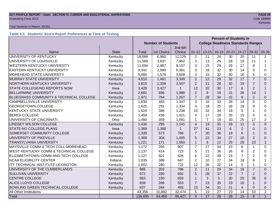#### **ACT PROFILE REPORT - State: SECTION IV, CAREER AND EDUCATIONAL ASPIRATIONS PAGE 28 Graduating Class 2013** Code 189999

#### Total Students in Report: 49,551

# **Table 4.3. Students' Score Report Preferences at Time of Testing**

|                                                   |              | <b>Percent of Students in</b> |                                           |        |                |                 |                 |                 |                         |                |                |
|---------------------------------------------------|--------------|-------------------------------|-------------------------------------------|--------|----------------|-----------------|-----------------|-----------------|-------------------------|----------------|----------------|
|                                                   |              | <b>Number of Students</b>     | <b>College Readiness Standards Ranges</b> |        |                |                 |                 |                 |                         |                |                |
|                                                   |              | 2nd-6th                       |                                           |        |                |                 |                 |                 |                         |                |                |
| Name                                              | <b>State</b> | <b>Total</b>                  | 1st Choice                                | Choice | $01 - 12$      | $13 - 15$       | $16-19$         | $20 - 23$       | 24-27                   | $28 - 32$      | 33-36          |
| UNIVERSITY OF KENTUCKY                            | Kentucky     | 18,089                        | 6,960                                     | 11,129 | $\overline{2}$ | 11              | 24              | 30              | 20                      | 11             | 1              |
| UNIVERSITY OF LOUISVILLE                          | Kentucky     | 11,569                        | 3,607                                     | 7,962  | 3              | 13              | 25              | 28              | 19                      | 11             | $\mathbf 1$    |
| <b>WESTERN KENTUCKY UNIVERSITY</b>                | Kentucky     | 11,094                        | 2,987                                     | 8,107  | 3              | 15              | 29              | 29              | 17                      | 8              |                |
| <b>EASTERN KENTUCKY UNIVERSITY</b>                | Kentucky     | 9,341                         | 2,980                                     | 6,361  | 3              | 16              | 32              | 30              | 14                      | 5              | 0              |
| MOREHEAD STATE UNIVERSITY                         | Kentucky     | 5,086                         | 1,578                                     | 3,508  | 3              | 15              | 32              | 30              | 16                      | 5              | 0              |
| <b>MURRAY STATE UNIVERSITY</b>                    | Kentucky     | 4,810                         | 1,461                                     | 3,349  | $\overline{2}$ | 12              | 29              | 32              | 17                      | $\overline{7}$ | $\Omega$       |
| NORTHERN KENTUCKY UNIVERSITY                      | Kentucky     | 3,815                         | 1,308                                     | 2,507  | $\overline{2}$ | 11              | 28              | 32              | 19                      | $\overline{7}$ | $\Omega$       |
| STATE-COLLEGE/NO REPORTS NOW                      | lowa         | 3,428                         | 3,427                                     | 1      | 12             | 32              | 30              | 17              | 6                       | $\overline{2}$ |                |
| <b>BELLARMINE UNIVERSITY</b>                      | Kentucky     | 2,682                         | 696                                       | 1,986  | $\overline{2}$ | 8               | 19              | 31              | 26                      | 14             |                |
| BLUEGRASS COMMUNITY & TECHNICAL COLLEGE           | Kentucky     | 1,971                         | 764                                       | 1,207  | $\overline{7}$ | 28              | 34              | 22              | 8                       | $\overline{2}$ | $\mathbf 0$    |
| CAMPBELLSVILLE UNIVERSITY                         | Kentucky     | 1,830                         | 483                                       | 1,347  | 3              | $\overline{16}$ | 33              | $\overline{28}$ | 14                      | 5              | $\overline{0}$ |
| <b>GEORGETOWN COLLEGE</b>                         | Kentucky     | 1,625                         | 291                                       | 1,334  | 4              | 18              | 25              | 26              | 18                      | 9              | $\Omega$       |
| <b>KENTUCKY STATE UNIVERSITY</b>                  | Kentucky     | 1,624                         | 386                                       | 1,238  | 10             | 32              | 34              | 18              | 5                       |                | $\Omega$       |
| <b>BEREA COLLEGE</b>                              | Kentucky     | 1,459                         | 438                                       | 1,021  | 4              | 17              | 29              | 30              | 15                      | 5              | $\Omega$       |
| UNIVERSITY OF CINCINNATI                          | Ohio         | 1,450                         | 359                                       | 1,091  | 1              | $\overline{7}$  | 18              | 30              | 25                      | 17             | $\overline{2}$ |
| <b>LINDSEY WILSON COLLEGE</b>                     | Kentucky     | 1,436                         | 295                                       | 1,141  | $\overline{4}$ | 19              | 35              | 28              | 11                      | 3              | $\Omega$       |
| STATE-NO COLLEGE PLANS                            | lowa         | 1,369                         | 1,368                                     |        | 27             | 41              | 23              | $6\phantom{1}6$ | $\overline{2}$          | $\Omega$       | $\Omega$       |
| SOMERSET COMMUNITY COLLEGE                        | Kentucky     | 1,339                         | 573                                       | 766    | $\overline{7}$ | 30              | 36              | 19              | 6                       |                | 0              |
| UNIVERSITY OF PIKEVILLE                           | Kentucky     | 1,309                         | 304                                       | 1,005  | 5              | 22              | 34              | 27              | 10                      | 3              | $\Omega$       |
| <b>TRANSYLVANIA UNIVERSITY</b>                    | Kentucky     | 1,221                         | 171                                       | 1,050  | 1              | 6               | 12              | 25              | 29                      | 23             | 3              |
| MAYSVILLE COMM & TECH COLL-MOREHEAD               | Kentucky     | 1,172                         | 265                                       | 907    | $\overline{7}$ | 27              | 34              | 23              | 8                       | 1              | $\mathbf 0$    |
| <b>WEST KENTUCKY COMM &amp; TECHNICAL COLLEGE</b> | Kentucky     | 1,137                         | 414                                       | 723    | 5              | 21              | 36              | 26              | 9                       | $\overline{2}$ | $\Omega$       |
| ELIZABETHTOWN COMM AND TECH COLLEGE               | Kentucky     | 1,127                         | 501                                       | 626    | 6              | 22              | 39              | 24              | $\overline{7}$          | $\overline{2}$ | 0              |
| <b>NCAA ELIGIBILITY CENTER</b>                    | Indiana      | 1,035                         | 388                                       | 647    | $\overline{2}$ | 10              | 27              | 34              | 18                      | 8              | 1              |
| ITT TECHNICAL INSTITUTE-LEXINGTON                 | Kentucky     | 1,002                         | 280                                       | 722    | 12             | 36              | 32              | 14              | 5                       |                | $\Omega$       |
| UNIVERSITY OF THE CUMBERLANDS                     | Kentucky     | 988                           | 202                                       | 786    | $\overline{2}$ | 11              | 29              | 34              | 16                      | $\overline{7}$ | $\Omega$       |
| <b>SULLIVAN UNIVERSITY</b>                        | Kentucky     | 972                           | 280                                       | 692    | 5              | 28              | 37              | 22              | $\overline{7}$          | $\overline{2}$ | $\Omega$       |
| <b>CENTRE COLLEGE</b>                             | Kentucky     | 883                           | 190                                       | 693    |                | 3               | 5               | 20              | 29                      | 36             | 6              |
| ALICE LLOYD COLLEGE                               | Kentucky     | 839                           | 286                                       | 553    | $\overline{7}$ | 23              | 35              | 23              | 10                      |                | $\Omega$       |
| BOWLING GREEN TECHNICAL COLLEGE                   | Kentucky     | 837                           | 344                                       | 493    | 10             | 34              | 31              | 21              | $\overline{\mathbf{4}}$ | $\Omega$       | $\mathbf{0}$   |
| All Other Institutions                            |              | 43,356                        | 10,882                                    | 32,474 | 5              | 19              | 27              | 23              | 14                      | 10             | $\overline{2}$ |
| Total                                             |              | 139,895                       | 44,468                                    | 95,427 | $\overline{4}$ | $\overline{17}$ | $\overline{28}$ | $\overline{26}$ | $\overline{15}$         | 8              | $\overline{1}$ |

kentucky – kentucky – kentucky – kentucky – kentucky – kentucky – kentucky – kentucky – kentucky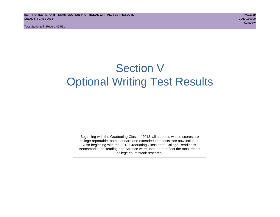# Section V Optional Writing Test Results

Beginning with the Graduating Class of 2013, all students whose scores are college reportable, both standard and extended time tests, are now included. Also beginning with the 2013 Graduating Class data, College Readiness Benchmarks for Reading and Science were updated to reflect the most recent college coursework research.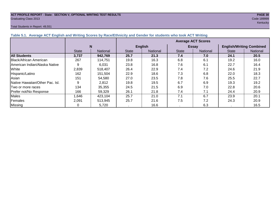#### **ACT PROFILE REPORT - State: SECTION V, OPTIONAL WRITING TEST RESULTS PAGE 30** Graduating Class 2013 Code 189999

#### Total Students in Report: 49,551

kentucky – kontucky – kontucky – kontucky – kontucky – kontucky – kontucky – kontucky – kontucky – kontucky –

| Table 5.1. Average ACT English and Writing Scores by Race/Ethnicity and Gender for students who took ACT Writing |              |          |                           |                 |              |                 |                                 |                 |  |  |  |
|------------------------------------------------------------------------------------------------------------------|--------------|----------|---------------------------|-----------------|--------------|-----------------|---------------------------------|-----------------|--|--|--|
|                                                                                                                  |              |          | <b>Average ACT Scores</b> |                 |              |                 |                                 |                 |  |  |  |
|                                                                                                                  |              | N        |                           | <b>English</b>  |              | <b>Essay</b>    | <b>English/Writing Combined</b> |                 |  |  |  |
|                                                                                                                  | <b>State</b> | National | <b>State</b>              | <b>National</b> | <b>State</b> | <b>National</b> | <b>State</b>                    | <b>National</b> |  |  |  |
| <b>All Students</b>                                                                                              | 3,737        | 942,769  | 25.7                      | 21.3            | 7.4          | 7.0             | 24.1                            | 20.5            |  |  |  |
| Black/African American                                                                                           | 267          | 114.751  | 19.8                      | 16.3            | 6.8          | 6.1             | 19.2                            | 16.0            |  |  |  |
| <b>IAmerican Indian/Alaska Native</b>                                                                            |              | 6.031    | 23.8                      | 16.8            | 7.6          | 6.1             | 22.7                            | 16.4            |  |  |  |
| White                                                                                                            | 2,839        | 518,407  | 26.4                      | 22.9            | 7.4          | 7.2             | 24.6                            | 21.9            |  |  |  |
| Hispanic/Latino                                                                                                  | 162          | 151,504  | 22.9                      | 18.6            | 7.3          | 6.8             | 22.0                            | 18.3            |  |  |  |
| Asian                                                                                                            | 151          | 54.580   | 27.0                      | 23.5            | 7.8          | 7.6             | 25.5                            | 22.7            |  |  |  |
| <b>INative Hawaiian/Other Pac. Isl.</b>                                                                          |              | 2,812    | 19.8                      | 19.5            | 6.7          | 6.9             | 19.3                            | 19.2            |  |  |  |
| Two or more races                                                                                                | 134          | 35,355   | 24.5                      | 21.5            | 6.9          | 7.0             | 22.8                            | 20.6            |  |  |  |
| Prefer not/No Response                                                                                           | 166          | 59.329   | 26.1                      | 21.8            | 7.4          | 7.1             | 24.4                            | 20.9            |  |  |  |
| Males                                                                                                            | 1,646        | 423,104  | 25.7                      | 21.0            | 7.1          | 6.7             | 23.9                            | 20.1            |  |  |  |
| Females                                                                                                          | 2,091        | 513,945  | 25.7                      | 21.6            | 7.5          | 7.2             | 24.3                            | 20.9            |  |  |  |
| <b>Missing</b>                                                                                                   |              | 5,720    |                           | 16.6            |              | 6.3             |                                 | 16.5            |  |  |  |